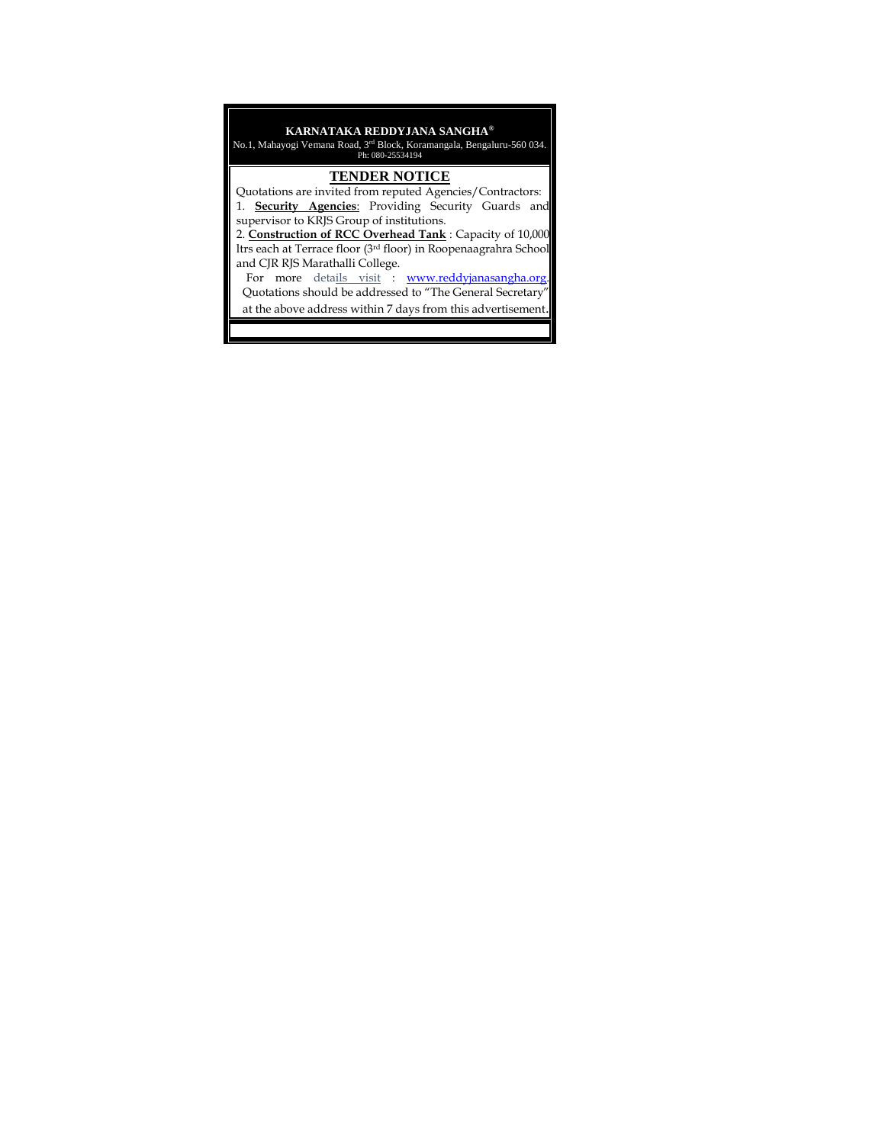# **KARNATAKA REDDYJANA SANGHA®**

No.1, Mahayogi Vemana Road, 3rd Block, Koramangala, Bengaluru-560 034. Ph: 080-25534194

#### **TENDER NOTICE**

 Quotations are invited from reputed Agencies/Contractors: 1. **Security Agencies**: Providing Security Guards and supervisor to KRJS Group of institutions.

2. **Construction of RCC Overhead Tank** : Capacity of 10,000 ltrs each at Terrace floor (3rd floor) in Roopenaagrahra School and CJR RJS Marathalli College.

For more details visit : www.reddyjanasangha.org Quotations should be addressed to "The General Secretary"

at the above address within 7 days from this advertisement.